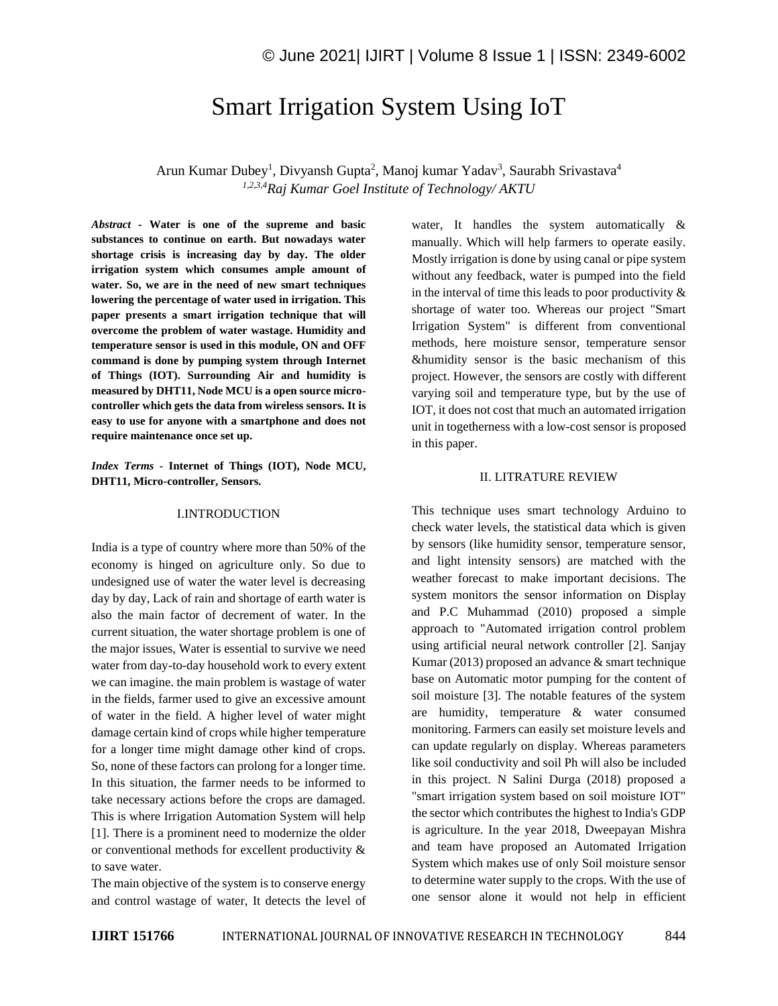# Smart Irrigation System Using IoT

Arun Kumar Dubey<sup>1</sup>, Divyansh Gupta<sup>2</sup>, Manoj kumar Yadav<sup>3</sup>, Saurabh Srivastava<sup>4</sup> *1,2,3,4Raj Kumar Goel Institute of Technology/ AKTU*

*Abstract -* **Water is one of the supreme and basic substances to continue on earth. But nowadays water shortage crisis is increasing day by day. The older irrigation system which consumes ample amount of water. So, we are in the need of new smart techniques lowering the percentage of water used in irrigation. This paper presents a smart irrigation technique that will overcome the problem of water wastage. Humidity and temperature sensor is used in this module, ON and OFF command is done by pumping system through Internet of Things (IOT). Surrounding Air and humidity is measured by DHT11, Node MCU is a open source microcontroller which gets the data from wireless sensors. It is easy to use for anyone with a smartphone and does not require maintenance once set up.**

*Index Terms -* **Internet of Things (IOT), Node MCU, DHT11, Micro-controller, Sensors.**

#### I.INTRODUCTION

India is a type of country where more than 50% of the economy is hinged on agriculture only. So due to undesigned use of water the water level is decreasing day by day, Lack of rain and shortage of earth water is also the main factor of decrement of water. In the current situation, the water shortage problem is one of the major issues, Water is essential to survive we need water from day-to-day household work to every extent we can imagine. the main problem is wastage of water in the fields, farmer used to give an excessive amount of water in the field. A higher level of water might damage certain kind of crops while higher temperature for a longer time might damage other kind of crops. So, none of these factors can prolong for a longer time. In this situation, the farmer needs to be informed to take necessary actions before the crops are damaged. This is where Irrigation Automation System will help [1]. There is a prominent need to modernize the older or conventional methods for excellent productivity & to save water.

The main objective of the system is to conserve energy and control wastage of water, It detects the level of water, It handles the system automatically & manually. Which will help farmers to operate easily. Mostly irrigation is done by using canal or pipe system without any feedback, water is pumped into the field in the interval of time this leads to poor productivity  $\&$ shortage of water too. Whereas our project "Smart Irrigation System" is different from conventional methods, here moisture sensor, temperature sensor &humidity sensor is the basic mechanism of this project. However, the sensors are costly with different varying soil and temperature type, but by the use of IOT, it does not cost that much an automated irrigation unit in togetherness with a low-cost sensor is proposed in this paper.

### II. LITRATURE REVIEW

This technique uses smart technology Arduino to check water levels, the statistical data which is given by sensors (like humidity sensor, temperature sensor, and light intensity sensors) are matched with the weather forecast to make important decisions. The system monitors the sensor information on Display and P.C Muhammad (2010) proposed a simple approach to "Automated irrigation control problem using artificial neural network controller [2]. Sanjay Kumar (2013) proposed an advance & smart technique base on Automatic motor pumping for the content of soil moisture [3]. The notable features of the system are humidity, temperature & water consumed monitoring. Farmers can easily set moisture levels and can update regularly on display. Whereas parameters like soil conductivity and soil Ph will also be included in this project. N Salini Durga (2018) proposed a "smart irrigation system based on soil moisture IOT" the sector which contributes the highest to India's GDP is agriculture. In the year 2018, Dweepayan Mishra and team have proposed an Automated Irrigation System which makes use of only Soil moisture sensor to determine water supply to the crops. With the use of one sensor alone it would not help in efficient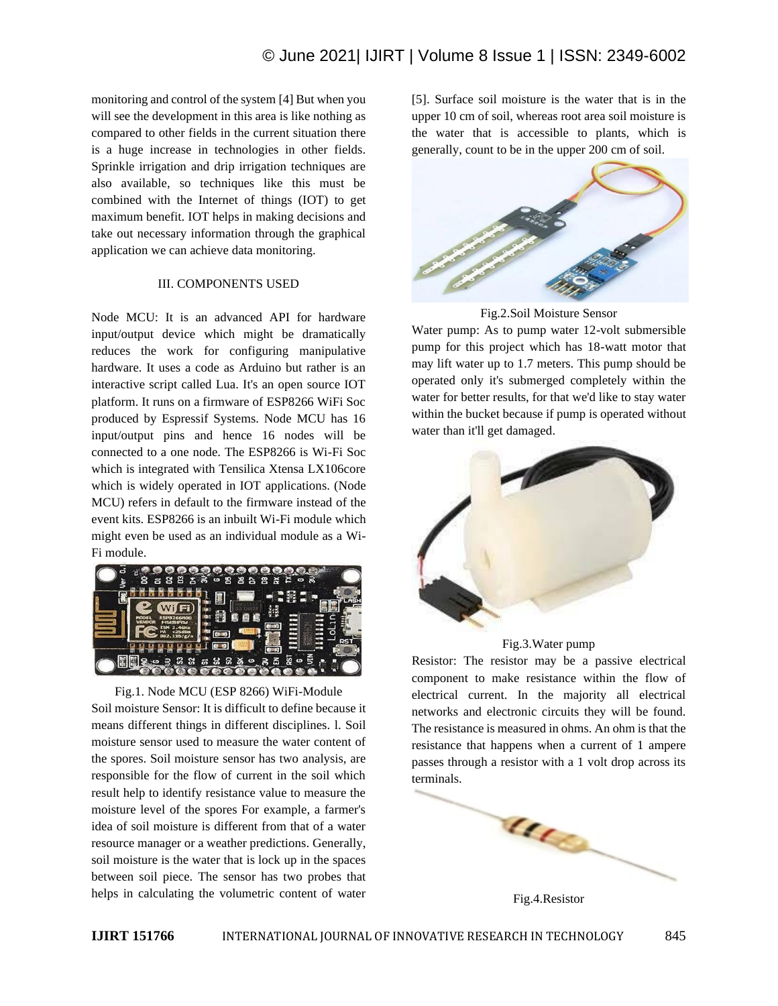monitoring and control of the system [4] But when you will see the development in this area is like nothing as compared to other fields in the current situation there is a huge increase in technologies in other fields. Sprinkle irrigation and drip irrigation techniques are also available, so techniques like this must be combined with the Internet of things (IOT) to get maximum benefit. IOT helps in making decisions and take out necessary information through the graphical application we can achieve data monitoring.

# III. COMPONENTS USED

Node MCU: It is an advanced API for hardware input/output device which might be dramatically reduces the work for configuring manipulative hardware. It uses a code as Arduino but rather is an interactive script called Lua. It's an open source IOT platform. It runs on a firmware of ESP8266 WiFi Soc produced by Espressif Systems. Node MCU has 16 input/output pins and hence 16 nodes will be connected to a one node. The ESP8266 is Wi-Fi Soc which is integrated with Tensilica Xtensa LX106core which is widely operated in IOT applications. (Node MCU) refers in default to the firmware instead of the event kits. ESP8266 is an inbuilt Wi-Fi module which might even be used as an individual module as a Wi-Fi module.



Fig.1. Node MCU (ESP 8266) WiFi-Module Soil moisture Sensor: It is difficult to define because it means different things in different disciplines. l. Soil moisture sensor used to measure the water content of the spores. Soil moisture sensor has two analysis, are responsible for the flow of current in the soil which result help to identify resistance value to measure the moisture level of the spores For example, a farmer's idea of soil moisture is different from that of a water resource manager or a weather predictions. Generally, soil moisture is the water that is lock up in the spaces between soil piece. The sensor has two probes that helps in calculating the volumetric content of water [5]. Surface soil moisture is the water that is in the upper 10 cm of soil, whereas root area soil moisture is the water that is accessible to plants, which is generally, count to be in the upper 200 cm of soil.



Fig.2.Soil Moisture Sensor

Water pump: As to pump water 12-volt submersible pump for this project which has 18-watt motor that may lift water up to 1.7 meters. This pump should be operated only it's submerged completely within the water for better results, for that we'd like to stay water within the bucket because if pump is operated without water than it'll get damaged.





Resistor: The resistor may be a passive electrical component to make resistance within the flow of electrical current. In the majority all electrical networks and electronic circuits they will be found. The resistance is measured in ohms. An ohm is that the resistance that happens when a current of 1 ampere passes through a resistor with a 1 volt drop across its terminals.



Fig.4.Resistor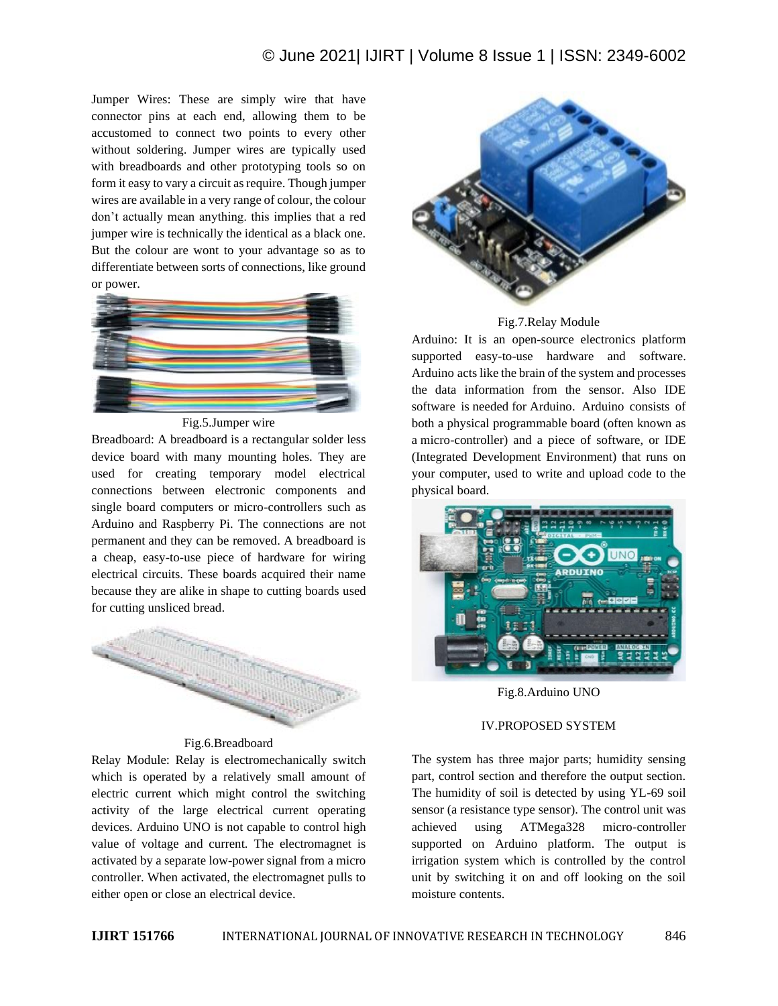# © June 2021| IJIRT | Volume 8 Issue 1 | ISSN: 2349-6002

Jumper Wires: These are simply wire that have connector pins at each end, allowing them to be accustomed to connect two points to every other without soldering. Jumper wires are typically used with breadboards and other prototyping tools so on form it easy to vary a circuit as require. Though jumper wires are available in a very range of colour, the colour don't actually mean anything. this implies that a red jumper wire is technically the identical as a black one. But the colour are wont to your advantage so as to differentiate between sorts of connections, like ground or power.



Fig.5.Jumper wire

Breadboard: A breadboard is a rectangular solder less device board with many mounting holes. They are used for creating temporary model electrical connections between electronic components and single board computers or micro-controllers such as Arduino and Raspberry Pi. The connections are not permanent and they can be removed. A breadboard is a cheap, easy-to-use piece of hardware for wiring electrical circuits. These boards acquired their name because they are alike in shape to cutting boards used for cutting unsliced bread.



#### Fig.6.Breadboard

Relay Module: Relay is electromechanically switch which is operated by a relatively small amount of electric current which might control the switching activity of the large electrical current operating devices. Arduino UNO is not capable to control high value of voltage and current. The electromagnet is activated by a separate low-power signal from a micro controller. When activated, the electromagnet pulls to either open or close an electrical device.



#### Fig.7.Relay Module

Arduino: It is an open-source electronics platform supported easy-to-use hardware and software. Arduino acts like the brain of the system and processes the data information from the sensor. Also IDE software is needed for Arduino. Arduino consists of both a physical programmable board (often known as a micro-controller) and a piece of software, or IDE (Integrated Development Environment) that runs on your computer, used to write and upload code to the physical board.



Fig.8.Arduino UNO

## IV.PROPOSED SYSTEM

The system has three major parts; humidity sensing part, control section and therefore the output section. The humidity of soil is detected by using YL-69 soil sensor (a resistance type sensor). The control unit was achieved using ATMega328 micro-controller supported on Arduino platform. The output is irrigation system which is controlled by the control unit by switching it on and off looking on the soil moisture contents.